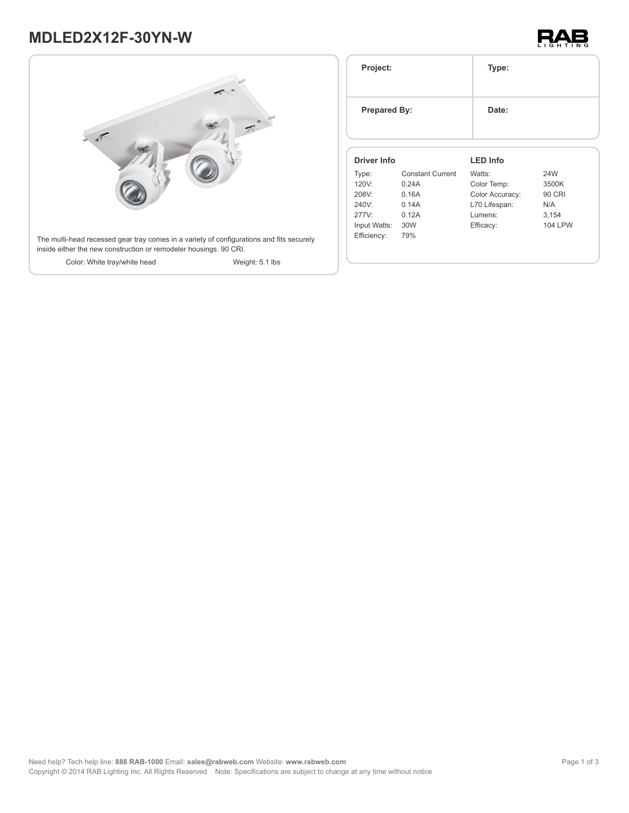# **MDLED2X12F-30YN-W**





| Project:<br><b>Prepared By:</b> |                         | Type:           |                |
|---------------------------------|-------------------------|-----------------|----------------|
|                                 |                         | Date:           |                |
| <b>Driver Info</b>              |                         | <b>LED Info</b> |                |
| Type:                           | <b>Constant Current</b> | Watts:          | 24W            |
| 120V:                           | 0.24A                   | Color Temp:     | 3500K          |
| 208V:                           | 0.16A                   | Color Accuracy: | <b>90 CRI</b>  |
| 240V:                           | 0.14A                   | L70 Lifespan:   | N/A            |
|                                 | 0.12A                   | Lumens:         | 3,154          |
| 277V:                           |                         |                 |                |
| Input Watts:                    | 30W                     | Efficacy:       | <b>104 LPW</b> |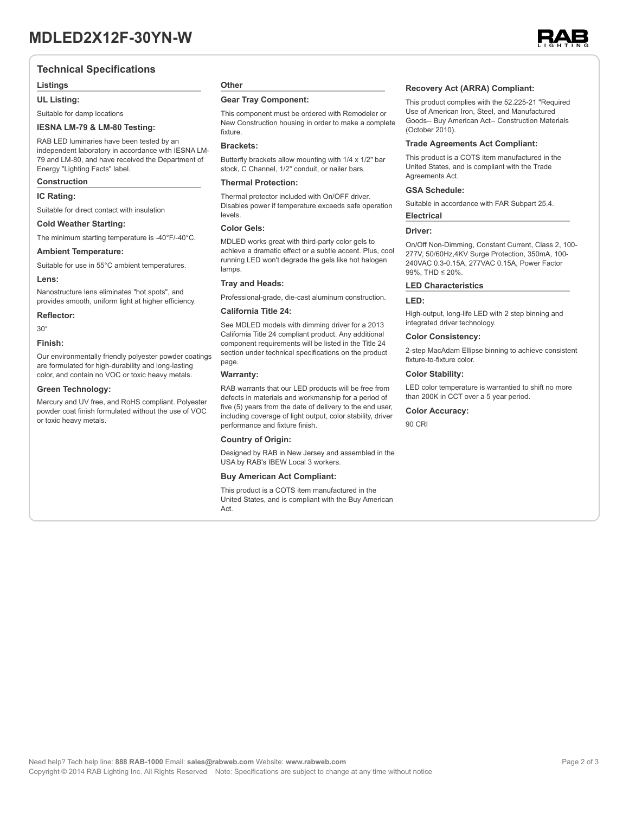### **Technical Specifications**

#### **Listings**

**UL Listing:**

#### Suitable for damp locations

#### **IESNA LM-79 & LM-80 Testing:**

RAB LED luminaries have been tested by an independent laboratory in accordance with IESNA LM-79 and LM-80, and have received the Department of Energy "Lighting Facts" label.

#### **Construction**

#### **IC Rating:**

Suitable for direct contact with insulation

#### **Cold Weather Starting:**

The minimum starting temperature is -40°F/-40°C.

#### **Ambient Temperature:**

Suitable for use in 55°C ambient temperatures. **Lens:**

Nanostructure lens eliminates "hot spots", and provides smooth, uniform light at higher efficiency.

#### **Reflector:**

30°

#### **Finish:**

Our environmentally friendly polyester powder coatings are formulated for high-durability and long-lasting color, and contain no VOC or toxic heavy metals.

#### **Green Technology:**

Mercury and UV free, and RoHS compliant. Polyester powder coat finish formulated without the use of VOC or toxic heavy metals.

### **Other**

#### **Gear Tray Component:**

This component must be ordered with Remodeler or New Construction housing in order to make a complete fixture.

#### **Brackets:**

Butterfly brackets allow mounting with 1/4 x 1/2" bar stock, C Channel, 1/2" conduit, or nailer bars.

#### **Thermal Protection:**

Thermal protector included with On/OFF driver. Disables power if temperature exceeds safe operation levels.

#### **Color Gels:**

MDLED works great with third-party color gels to achieve a dramatic effect or a subtle accent. Plus, cool running LED won't degrade the gels like hot halogen lamps

#### **Tray and Heads:**

Professional-grade, die-cast aluminum construction.

#### **California Title 24:**

See MDLED models with dimming driver for a 2013 California Title 24 compliant product. Any additional component requirements will be listed in the Title 24 section under technical specifications on the product page.

#### **Warranty:**

RAB warrants that our LED products will be free from defects in materials and workmanship for a period of five (5) years from the date of delivery to the end user, including coverage of light output, color stability, driver performance and fixture finish.

#### **Country of Origin:**

Designed by RAB in New Jersey and assembled in the USA by RAB's IBEW Local 3 workers.

#### **Buy American Act Compliant:**

This product is a COTS item manufactured in the United States, and is compliant with the Buy American Act.

#### **Recovery Act (ARRA) Compliant:**

This product complies with the 52.225-21 "Required Use of American Iron, Steel, and Manufactured Goods-- Buy American Act-- Construction Materials (October 2010).

#### **Trade Agreements Act Compliant:**

This product is a COTS item manufactured in the United States, and is compliant with the Trade Agreements Act.

#### **GSA Schedule:**

Suitable in accordance with FAR Subpart 25.4. **Electrical**

## **Driver:**

On/Off Non-Dimming, Constant Current, Class 2, 100- 277V, 50/60Hz,4KV Surge Protection, 350mA, 100- 240VAC 0.3-0.15A, 277VAC 0.15A, Power Factor 99%, THD ≤ 20%.

#### **LED Characteristics**

#### **LED:**

High-output, long-life LED with 2 step binning and integrated driver technology.

#### **Color Consistency:**

2-step MacAdam Ellipse binning to achieve consistent fixture-to-fixture color.

#### **Color Stability:**

LED color temperature is warrantied to shift no more than 200K in CCT over a 5 year period.

#### **Color Accuracy:**

90 CRI